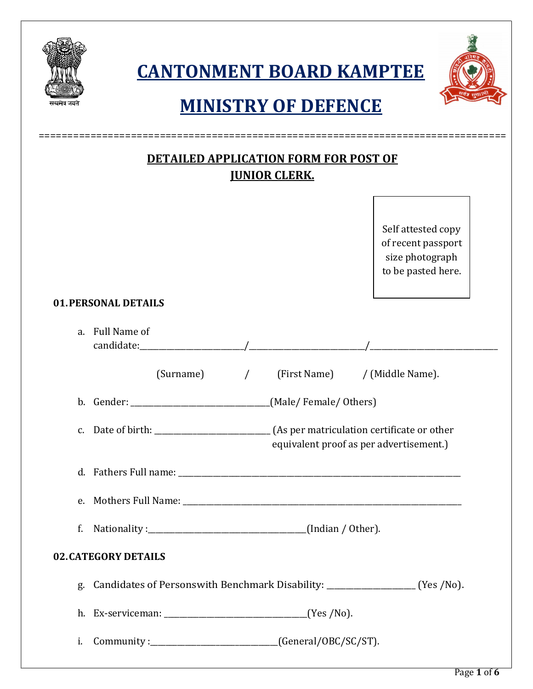|    | <b>CANTONMENT BOARD KAMPTEE</b><br><b>MINISTRY OF DEFENCE</b>                                                    |  |  |
|----|------------------------------------------------------------------------------------------------------------------|--|--|
|    | <b>DETAILED APPLICATION FORM FOR POST OF</b><br><b>JUNIOR CLERK.</b>                                             |  |  |
|    | Self attested copy<br>of recent passport<br>size photograph<br>to be pasted here.<br><b>01. PERSONAL DETAILS</b> |  |  |
|    | a. Full Name of                                                                                                  |  |  |
|    | (First Name) / (Middle Name).<br>$(Surname)$ /                                                                   |  |  |
|    | b. Gender: __________________________________(Male/Female/Others)                                                |  |  |
|    | equivalent proof as per advertisement.)                                                                          |  |  |
|    |                                                                                                                  |  |  |
|    |                                                                                                                  |  |  |
| f. |                                                                                                                  |  |  |
|    | <b>02. CATEGORY DETAILS</b>                                                                                      |  |  |
|    | g. Candidates of Personswith Benchmark Disability: ______________________ (Yes /No).                             |  |  |
|    |                                                                                                                  |  |  |
|    | i. Community: _________________________________(General/OBC/SC/ST).                                              |  |  |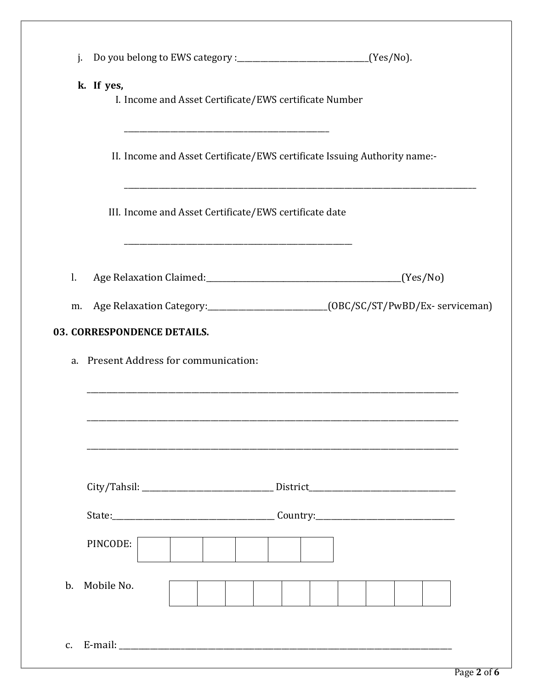| j.             |            |                                                                           |  |                                                                                       |
|----------------|------------|---------------------------------------------------------------------------|--|---------------------------------------------------------------------------------------|
|                | k. If yes, | I. Income and Asset Certificate/EWS certificate Number                    |  |                                                                                       |
|                |            | II. Income and Asset Certificate/EWS certificate Issuing Authority name:- |  |                                                                                       |
|                |            | III. Income and Asset Certificate/EWS certificate date                    |  |                                                                                       |
| l.             |            |                                                                           |  |                                                                                       |
|                |            |                                                                           |  | m. Age Relaxation Category:____________________________(OBC/SC/ST/PwBD/Ex-serviceman) |
|                |            | 03. CORRESPONDENCE DETAILS.                                               |  |                                                                                       |
|                |            | a. Present Address for communication:                                     |  |                                                                                       |
|                |            |                                                                           |  |                                                                                       |
|                |            |                                                                           |  |                                                                                       |
|                |            |                                                                           |  |                                                                                       |
|                |            |                                                                           |  |                                                                                       |
|                |            |                                                                           |  |                                                                                       |
|                |            |                                                                           |  |                                                                                       |
|                | PINCODE:   |                                                                           |  |                                                                                       |
|                |            |                                                                           |  |                                                                                       |
| $\mathbf{b}$ . | Mobile No. |                                                                           |  |                                                                                       |
|                |            |                                                                           |  |                                                                                       |
| $C_{\bullet}$  |            |                                                                           |  |                                                                                       |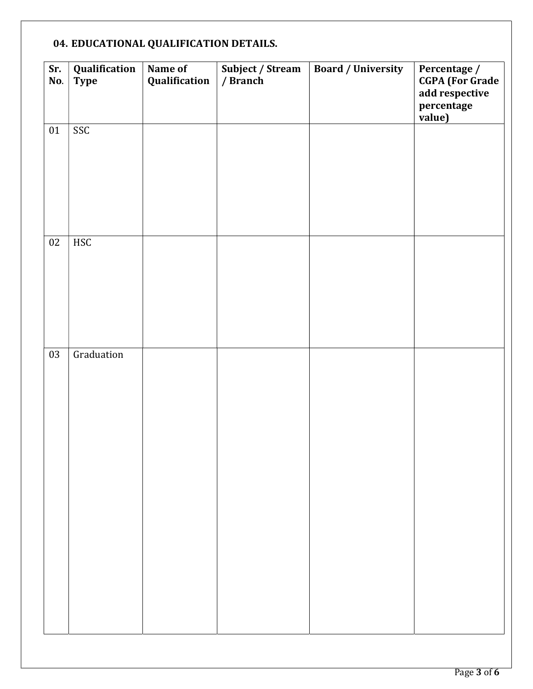## 04. [EDUCATIONAL QUALIFICATION DETAILS.](https://t.me/Online_forms)

| Sr.<br>No. | Qualification<br><b>Type</b> | Name of<br>Qualification | Subject / Stream<br>/ Branch | <b>Board / University</b> | Percentage /<br><b>CGPA</b> (For Grade<br>add respective<br>percentage<br>value) |
|------------|------------------------------|--------------------------|------------------------------|---------------------------|----------------------------------------------------------------------------------|
| 01         | SSC                          |                          |                              |                           |                                                                                  |
| $02\,$     | <b>HSC</b>                   |                          |                              |                           |                                                                                  |
| 03         | Graduation                   |                          |                              |                           |                                                                                  |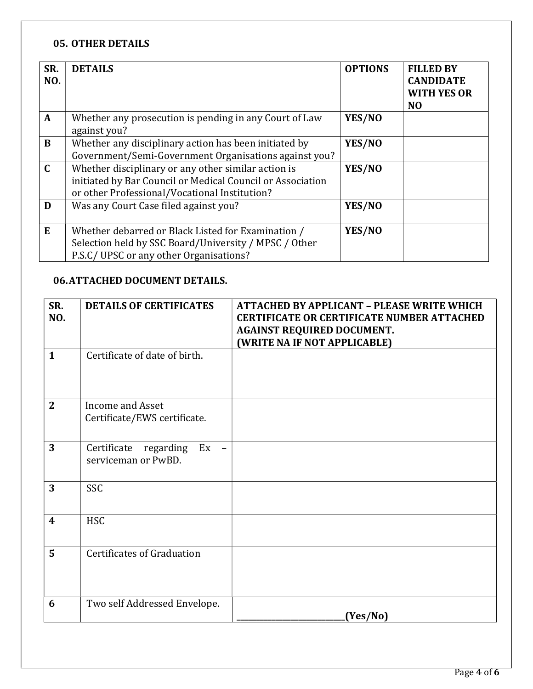## 05. OTHER DETAILS

| SR.<br>NO.   | <b>DETAILS</b>                                                                                                                                                     | <b>OPTIONS</b> | <b>FILLED BY</b><br><b>CANDIDATE</b><br><b>WITH YES OR</b><br>N <sub>O</sub> |
|--------------|--------------------------------------------------------------------------------------------------------------------------------------------------------------------|----------------|------------------------------------------------------------------------------|
| $\mathbf{A}$ | Whether any prosecution is pending in any Court of Law<br>against you?                                                                                             | YES/NO         |                                                                              |
| B            | Whether any disciplinary action has been initiated by<br>Government/Semi-Government Organisations against you?                                                     | YES/NO         |                                                                              |
| $\mathbf C$  | Whether disciplinary or any other similar action is<br>initiated by Bar Council or Medical Council or Association<br>or other Professional/Vocational Institution? | YES/NO         |                                                                              |
| D            | Was any Court Case filed against you?                                                                                                                              | YES/NO         |                                                                              |
| E            | Whether debarred or Black Listed for Examination /<br>Selection held by SSC Board/University / MPSC / Other<br>P.S.C/UPSC or any other Organisations?              | YES/NO         |                                                                              |

## 06.ATTACHED DOCUMENT DETAILS.

| SR.<br>NO.       | <b>DETAILS OF CERTIFICATES</b>                                                    | <b>ATTACHED BY APPLICANT - PLEASE WRITE WHICH</b><br><b>CERTIFICATE OR CERTIFICATE NUMBER ATTACHED</b><br><b>AGAINST REQUIRED DOCUMENT.</b><br>(WRITE NA IF NOT APPLICABLE) |
|------------------|-----------------------------------------------------------------------------------|-----------------------------------------------------------------------------------------------------------------------------------------------------------------------------|
| $\mathbf{1}$     | Certificate of date of birth.                                                     |                                                                                                                                                                             |
| $\mathbf{2}$     | Income and Asset<br>Certificate/EWS certificate.                                  |                                                                                                                                                                             |
| 3                | Certificate<br>regarding<br>Ex<br>$\overline{\phantom{0}}$<br>serviceman or PwBD. |                                                                                                                                                                             |
| 3                | <b>SSC</b>                                                                        |                                                                                                                                                                             |
| $\boldsymbol{4}$ | <b>HSC</b>                                                                        |                                                                                                                                                                             |
| 5                | Certificates of Graduation                                                        |                                                                                                                                                                             |
| 6                | Two self Addressed Envelope.                                                      | (Yes/No)                                                                                                                                                                    |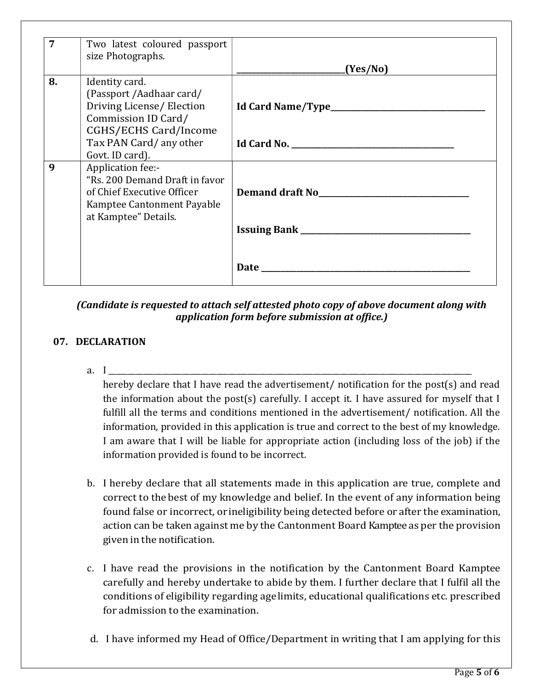| $\overline{7}$ | Two latest coloured passport<br>size Photographs. |                                      |
|----------------|---------------------------------------------------|--------------------------------------|
|                |                                                   | (Yes/No)                             |
| 8.             | Identity card.                                    |                                      |
|                | (Passport / Aadhaar card/                         |                                      |
|                | Driving License/ Election<br>Commission ID Card/  |                                      |
|                | <b>CGHS/ECHS Card/Income</b>                      |                                      |
|                | Tax PAN Card/any other                            |                                      |
|                | Govt. ID card).                                   |                                      |
| 9              | Application fee:-                                 |                                      |
|                | "Rs. 200 Demand Draft in favor                    |                                      |
|                | of Chief Executive Officer                        | Demand draft No <b>Exercise 2018</b> |
|                | Kamptee Cantonment Payable                        |                                      |
|                | at Kamptee" Details.                              |                                      |
|                |                                                   |                                      |
|                |                                                   |                                      |
|                |                                                   |                                      |
|                |                                                   |                                      |

(Candidate is requested to attach self attested photo copy of above document along with application form before submission at office.)

## 07. DECLARATION

a. I \_\_\_\_\_\_\_\_\_\_\_\_\_\_\_\_\_\_\_\_\_\_\_\_\_\_\_\_\_\_\_\_\_\_\_\_\_\_\_\_\_\_\_\_\_\_\_\_\_\_\_\_\_\_\_\_\_\_\_\_\_\_\_\_\_\_\_\_\_\_\_\_\_\_\_\_\_\_\_\_\_\_\_\_\_\_\_\_\_\_\_\_\_\_

hereby declare that I have read the advertisement/ notification for the post(s) and read the information about the post(s) carefully. I accept it. I have assured for myself that I fulfill all the terms and conditions mentioned in the advertisement/ notification. All the information, provided in this application is true and correct to the best of my knowledge. I am aware that I will be liable for appropriate action (including loss of the job) if the information provided is found to be incorrect.

- b. [I hereby declare that all statements made in this application are true, complete and](https://t.me/Online_forms)  correct to the best of my knowledge and belief. In the event of any information being found false or incorrect, or ineligibility being detected before or after the examination, action can be taken against me by the Cantonment Board Kamptee as per the provision given in the notification.
- c. I have read the provisions in the notification by the Cantonment Board Kamptee carefully and hereby undertake to abide by them. I further declare that I fulfil all the conditions of eligibility regarding age limits, educational qualifications etc. prescribed for admission to the examination.
- d. I have informed my Head of Office/Department in writing that I am applying for this